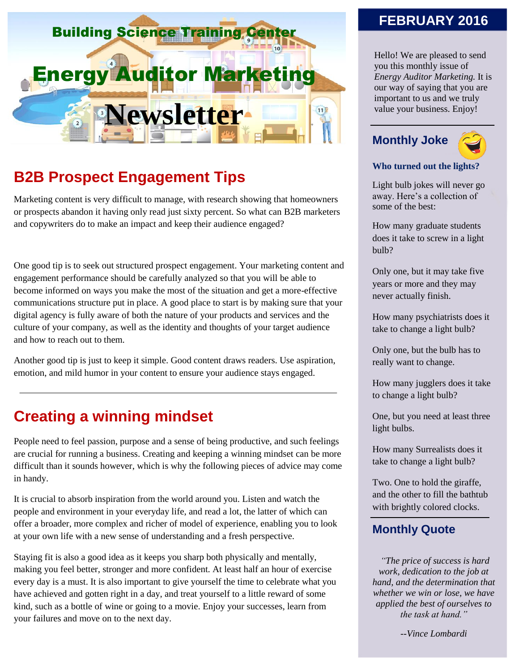

# **B2B Prospect Engagement Tips**

Marketing content is very difficult to manage, with research showing that homeowners or prospects abandon it having only read just sixty percent. So what can B2B marketers and copywriters do to make an impact and keep their audience engaged?

One good tip is to seek out structured prospect engagement. Your marketing content and engagement performance should be carefully analyzed so that you will be able to become informed on ways you make the most of the situation and get a more-effective communications structure put in place. A good place to start is by making sure that your digital agency is fully aware of both the nature of your products and services and the culture of your company, as well as the identity and thoughts of your target audience and how to reach out to them.

Another good tip is just to keep it simple. Good content draws readers. Use aspiration, emotion, and mild humor in your content to ensure your audience stays engaged.

### **Creating a winning mindset**

People need to feel passion, purpose and a sense of being productive, and such feelings are crucial for running a business. Creating and keeping a winning mindset can be more difficult than it sounds however, which is why the following pieces of advice may come in handy.

It is crucial to absorb inspiration from the world around you. Listen and watch the people and environment in your everyday life, and read a lot, the latter of which can offer a broader, more complex and richer of model of experience, enabling you to look at your own life with a new sense of understanding and a fresh perspective.

Staying fit is also a good idea as it keeps you sharp both physically and mentally, making you feel better, stronger and more confident. At least half an hour of exercise every day is a must. It is also important to give yourself the time to celebrate what you have achieved and gotten right in a day, and treat yourself to a little reward of some kind, such as a bottle of wine or going to a movie. Enjoy your successes, learn from your failures and move on to the next day.

#### **FEBRUARY 2016**

Hello! We are pleased to send you this monthly issue of *Energy Auditor Marketing.* It is our way of saying that you are important to us and we truly value your business. Enjoy!

# **Monthly Joke**



#### **Who turned out the lights?**

Light bulb jokes will never go away. Here's a collection of some of the best:

How many graduate students does it take to screw in a light bulb?

Only one, but it may take five years or more and they may never actually finish.

How many psychiatrists does it take to change a light bulb?

Only one, but the bulb has to really want to change.

How many jugglers does it take to change a light bulb?

One, but you need at least three light bulbs.

How many Surrealists does it take to change a light bulb?

Two. One to hold the giraffe, and the other to fill the bathtub with brightly colored clocks.

#### **Monthly Quote**

*"The price of success is hard work, dedication to the job at hand, and the determination that whether we win or lose, we have applied the best of ourselves to the task at hand."*

*--Vince Lombardi*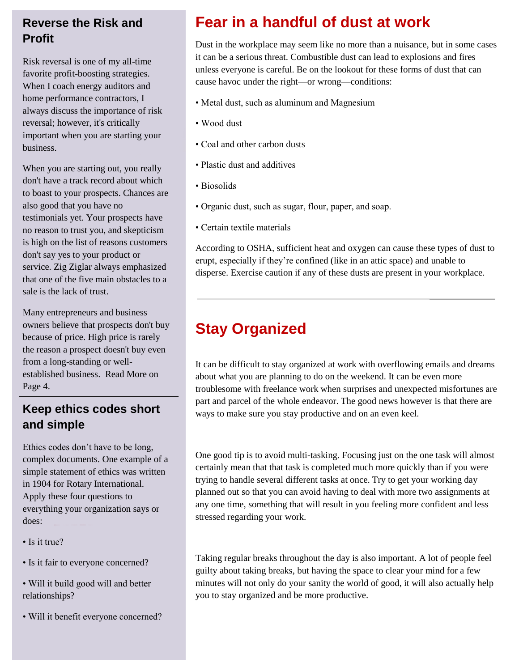### **Reverse the Risk and Profit**

Risk reversal is one of my all-time favorite profit-boosting strategies. When I coach energy auditors and home performance contractors, I always discuss the importance of risk reversal; however, it's critically important when you are starting your business.

When you are starting out, you really don't have a track record about which to boast to your prospects. Chances are also good that you have no testimonials yet. Your prospects have no reason to trust you, and skepticism is high on the list of reasons customers don't say yes to your product or service. Zig Ziglar always emphasized that one of the five main obstacles to a sale is the lack of trust.

Many entrepreneurs and business owners believe that prospects don't buy because of price. High price is rarely the reason a prospect doesn't buy even from a long-standing or wellestablished business. Read More on Page 4.

### **Keep ethics codes short and simple**

Ethics codes don't have to be long, complex documents. One example of a simple statement of ethics was written in 1904 for Rotary International. Apply these four questions to everything your organization says or does:

- Is it true?
- Is it fair to everyone concerned?
- Will it build good will and better relationships?
- Will it benefit everyone concerned?

# **Fear in a handful of dust at work**

Dust in the workplace may seem like no more than a nuisance, but in some cases it can be a serious threat. Combustible dust can lead to explosions and fires unless everyone is careful. Be on the lookout for these forms of dust that can cause havoc under the right—or wrong—conditions:

- Metal dust, such as aluminum and Magnesium
- Wood dust
- Coal and other carbon dusts
- Plastic dust and additives
- Biosolids
- Organic dust, such as sugar, flour, paper, and soap.
- Certain textile materials

According to OSHA, sufficient heat and oxygen can cause these types of dust to erupt, especially if they're confined (like in an attic space) and unable to disperse. Exercise caution if any of these dusts are present in your workplace.

# **Stay Organized**

It can be difficult to stay organized at work with overflowing emails and dreams about what you are planning to do on the weekend. It can be even more troublesome with freelance work when surprises and unexpected misfortunes are part and parcel of the whole endeavor. The good news however is that there are ways to make sure you stay productive and on an even keel.

One good tip is to avoid multi-tasking. Focusing just on the one task will almost certainly mean that that task is completed much more quickly than if you were trying to handle several different tasks at once. Try to get your working day planned out so that you can avoid having to deal with more two assignments at any one time, something that will result in you feeling more confident and less stressed regarding your work.

Taking regular breaks throughout the day is also important. A lot of people feel guilty about taking breaks, but having the space to clear your mind for a few minutes will not only do your sanity the world of good, it will also actually help you to stay organized and be more productive.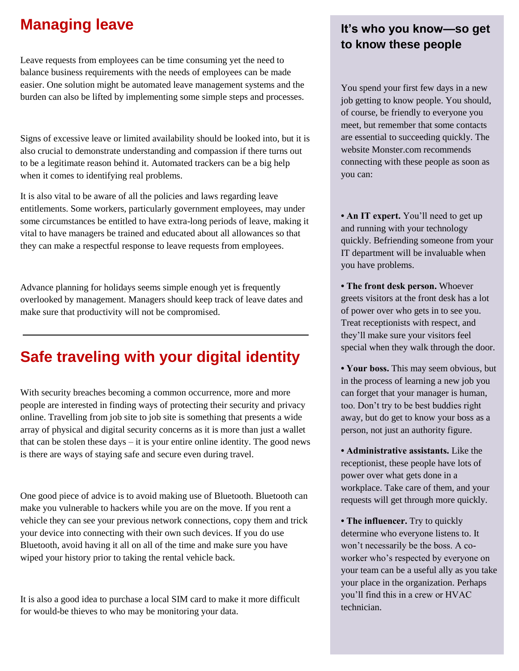### **Managing leave**

Leave requests from employees can be time consuming yet the need to balance business requirements with the needs of employees can be made easier. One solution might be automated leave management systems and the burden can also be lifted by implementing some simple steps and processes.

Signs of excessive leave or limited availability should be looked into, but it is also crucial to demonstrate understanding and compassion if there turns out to be a legitimate reason behind it. Automated trackers can be a big help when it comes to identifying real problems.

It is also vital to be aware of all the policies and laws regarding leave entitlements. Some workers, particularly government employees, may under some circumstances be entitled to have extra-long periods of leave, making it vital to have managers be trained and educated about all allowances so that they can make a respectful response to leave requests from employees.

Advance planning for holidays seems simple enough yet is frequently overlooked by management. Managers should keep track of leave dates and make sure that productivity will not be compromised.

# **Safe traveling with your digital identity**

With security breaches becoming a common occurrence, more and more people are interested in finding ways of protecting their security and privacy online. Travelling from job site to job site is something that presents a wide array of physical and digital security concerns as it is more than just a wallet that can be stolen these  $\frac{days - it}{is}$  your entire online identity. The good news is there are ways of staying safe and secure even during travel.

One good piece of advice is to avoid making use of Bluetooth. Bluetooth can make you vulnerable to hackers while you are on the move. If you rent a vehicle they can see your previous network connections, copy them and trick your device into connecting with their own such devices. If you do use Bluetooth, avoid having it all on all of the time and make sure you have wiped your history prior to taking the rental vehicle back.

It is also a good idea to purchase a local SIM card to make it more difficult for would-be thieves to who may be monitoring your data.

### **It's who you know—so get to know these people**

You spend your first few days in a new job getting to know people. You should, of course, be friendly to everyone you meet, but remember that some contacts are essential to succeeding quickly. The website Monster.com recommends connecting with these people as soon as you can:

• **An IT expert.** You'll need to get up and running with your technology quickly. Befriending someone from your IT department will be invaluable when you have problems.

**• The front desk person.** Whoever greets visitors at the front desk has a lot of power over who gets in to see you. Treat receptionists with respect, and they'll make sure your visitors feel special when they walk through the door.

**• Your boss.** This may seem obvious, but in the process of learning a new job you can forget that your manager is human, too. Don't try to be best buddies right away, but do get to know your boss as a person, not just an authority figure.

**• Administrative assistants.** Like the receptionist, these people have lots of power over what gets done in a workplace. Take care of them, and your requests will get through more quickly.

**• The influencer.** Try to quickly determine who everyone listens to. It won't necessarily be the boss. A coworker who's respected by everyone on your team can be a useful ally as you take your place in the organization. Perhaps you'll find this in a crew or HVAC technician.